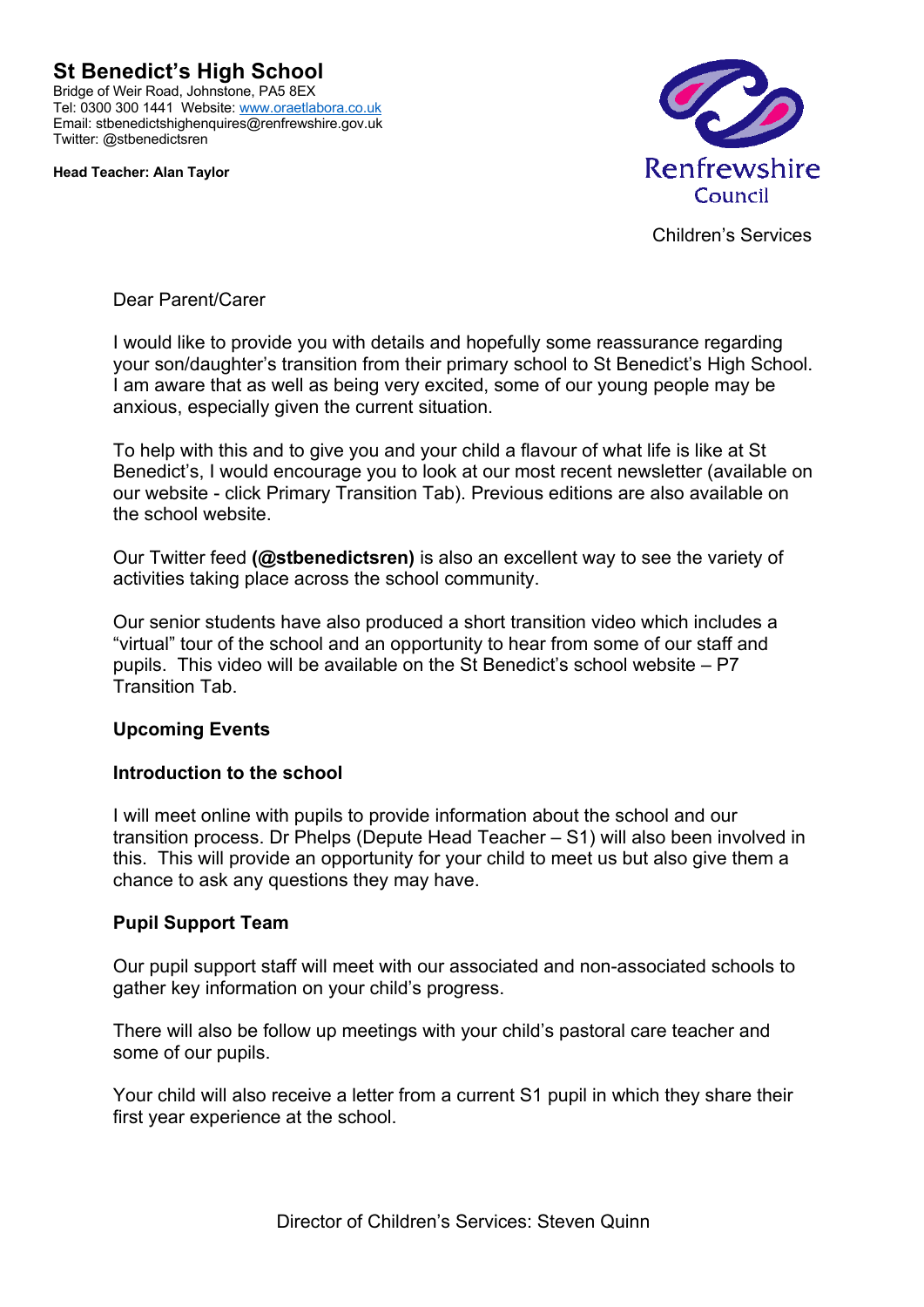**St Benedict's High School** Bridge of Weir Road, Johnstone, PA5 8EX Tel: 0300 300 1441 Website: www.oraetlabora.co.uk Email: stbenedictshighenquires@renfrewshire.gov.uk Twitter: @stbenedictsren

**Head Teacher: Alan Taylor**



Children's Services

Dear Parent/Carer

I would like to provide you with details and hopefully some reassurance regarding your son/daughter's transition from their primary school to St Benedict's High School. I am aware that as well as being very excited, some of our young people may be anxious, especially given the current situation.

To help with this and to give you and your child a flavour of what life is like at St Benedict's, I would encourage you to look at our most recent newsletter (available on our website - click Primary Transition Tab). Previous editions are also available on the school website.

Our Twitter feed **(@stbenedictsren)** is also an excellent way to see the variety of activities taking place across the school community.

Our senior students have also produced a short transition video which includes a "virtual" tour of the school and an opportunity to hear from some of our staff and pupils. This video will be available on the St Benedict's school website – P7 Transition Tab.

# **Upcoming Events**

### **Introduction to the school**

I will meet online with pupils to provide information about the school and our transition process. Dr Phelps (Depute Head Teacher – S1) will also been involved in this. This will provide an opportunity for your child to meet us but also give them a chance to ask any questions they may have.

### **Pupil Support Team**

Our pupil support staff will meet with our associated and non-associated schools to gather key information on your child's progress.

There will also be follow up meetings with your child's pastoral care teacher and some of our pupils.

Your child will also receive a letter from a current S1 pupil in which they share their first year experience at the school.